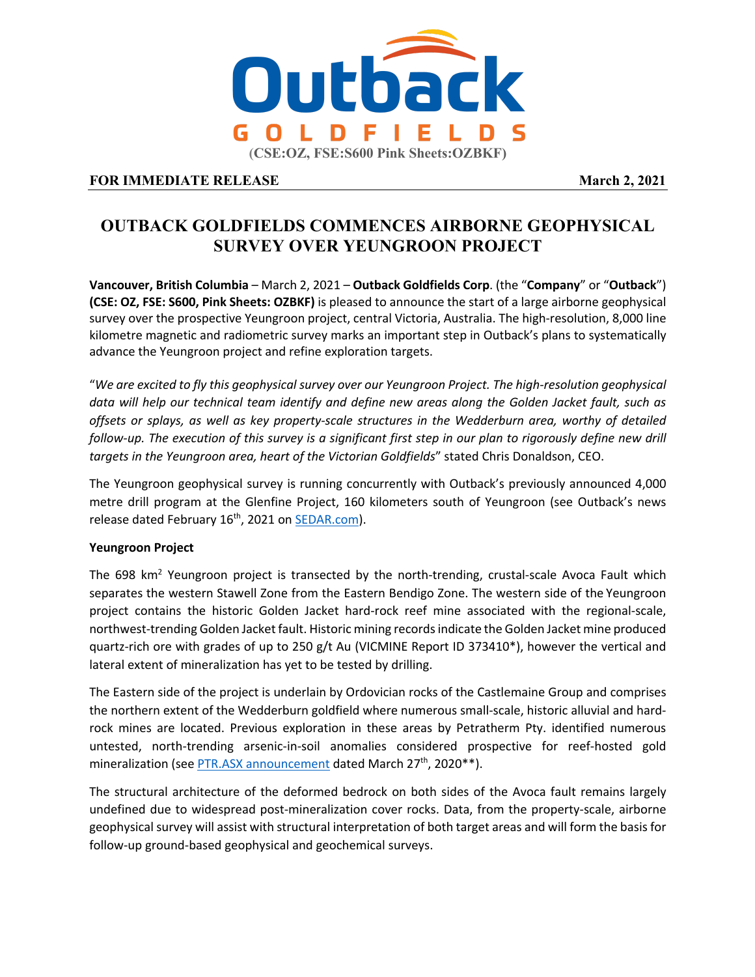

# **FOR IMMEDIATE RELEASE March 2, 2021**

# **OUTBACK GOLDFIELDS COMMENCES AIRBORNE GEOPHYSICAL SURVEY OVER YEUNGROON PROJECT**

**Vancouver, British Columbia** – March 2, 2021 – **Outback Goldfields Corp**. (the "**Company**" or "**Outback**") **(CSE: OZ, FSE: S600, Pink Sheets: OZBKF)** is pleased to announce the start of a large airborne geophysical survey over the prospective Yeungroon project, central Victoria, Australia. The high-resolution, 8,000 line kilometre magnetic and radiometric survey marks an important step in Outback's plans to systematically advance the Yeungroon project and refine exploration targets.

"*We are excited to fly this geophysical survey over our Yeungroon Project. The high-resolution geophysical data will help our technical team identify and define new areas along the Golden Jacket fault, such as offsets or splays, as well as key property-scale structures in the Wedderburn area, worthy of detailed follow-up. The execution of this survey is a significant first step in our plan to rigorously define new drill targets in the Yeungroon area, heart of the Victorian Goldfields*" stated Chris Donaldson, CEO.

The Yeungroon geophysical survey is running concurrently with Outback's previously announced 4,000 metre drill program at the Glenfine Project, 160 kilometers south of Yeungroon (see Outback's news release dated February 16<sup>th</sup>, 2021 on SEDAR.com).

## **Yeungroon Project**

The 698  $km<sup>2</sup>$  Yeungroon project is transected by the north-trending, crustal-scale Avoca Fault which separates the western Stawell Zone from the Eastern Bendigo Zone. The western side of the Yeungroon project contains the historic Golden Jacket hard-rock reef mine associated with the regional-scale, northwest-trending Golden Jacket fault. Historic mining records indicate the Golden Jacket mine produced quartz-rich ore with grades of up to 250 g/t Au (VICMINE Report ID 373410\*), however the vertical and lateral extent of mineralization has yet to be tested by drilling.

The Eastern side of the project is underlain by Ordovician rocks of the Castlemaine Group and comprises the northern extent of the Wedderburn goldfield where numerous small-scale, historic alluvial and hardrock mines are located. Previous exploration in these areas by Petratherm Pty. identified numerous untested, north-trending arsenic-in-soil anomalies considered prospective for reef-hosted gold mineralization (see PTR.ASX announcement dated March 27<sup>th</sup>, 2020<sup>\*\*</sup>).

The structural architecture of the deformed bedrock on both sides of the Avoca fault remains largely undefined due to widespread post-mineralization cover rocks. Data, from the property-scale, airborne geophysical survey will assist with structural interpretation of both target areas and will form the basis for follow-up ground-based geophysical and geochemical surveys.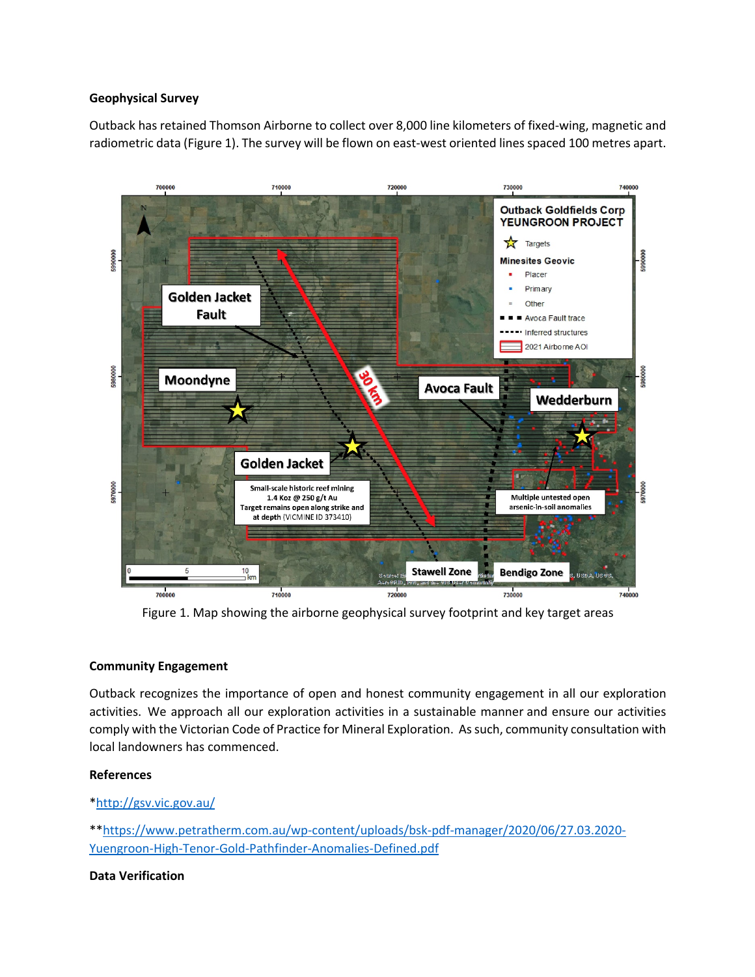## **Geophysical Survey**

Outback has retained Thomson Airborne to collect over 8,000 line kilometers of fixed-wing, magnetic and radiometric data (Figure 1). The survey will be flown on east-west oriented lines spaced 100 metres apart.



Figure 1. Map showing the airborne geophysical survey footprint and key target areas

#### **Community Engagement**

Outback recognizes the importance of open and honest community engagement in all our exploration activities. We approach all our exploration activities in a sustainable manner and ensure our activities comply with the Victorian Code of Practice for Mineral Exploration. As such, community consultation with local landowners has commenced.

#### **References**

## \*http://gsv.vic.gov.au/

\*\*https://www.petratherm.com.au/wp-content/uploads/bsk-pdf-manager/2020/06/27.03.2020- Yuengroon-High-Tenor-Gold-Pathfinder-Anomalies-Defined.pdf

#### **Data Verification**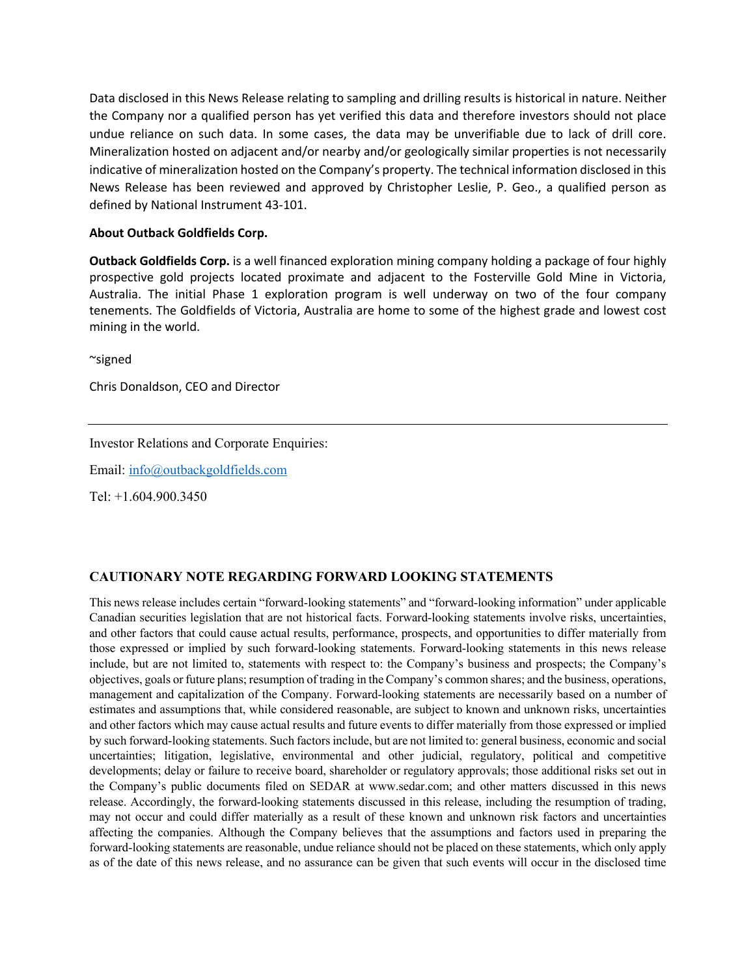Data disclosed in this News Release relating to sampling and drilling results is historical in nature. Neither the Company nor a qualified person has yet verified this data and therefore investors should not place undue reliance on such data. In some cases, the data may be unverifiable due to lack of drill core. Mineralization hosted on adjacent and/or nearby and/or geologically similar properties is not necessarily indicative of mineralization hosted on the Company's property. The technical information disclosed in this News Release has been reviewed and approved by Christopher Leslie, P. Geo., a qualified person as defined by National Instrument 43-101.

#### **About Outback Goldfields Corp.**

**Outback Goldfields Corp.** is a well financed exploration mining company holding a package of four highly prospective gold projects located proximate and adjacent to the Fosterville Gold Mine in Victoria, Australia. The initial Phase 1 exploration program is well underway on two of the four company tenements. The Goldfields of Victoria, Australia are home to some of the highest grade and lowest cost mining in the world.

~signed

Chris Donaldson, CEO and Director

Investor Relations and Corporate Enquiries:

Email: info@outbackgoldfields.com

Tel: +1.604.900.3450

## **CAUTIONARY NOTE REGARDING FORWARD LOOKING STATEMENTS**

This news release includes certain "forward-looking statements" and "forward-looking information" under applicable Canadian securities legislation that are not historical facts. Forward-looking statements involve risks, uncertainties, and other factors that could cause actual results, performance, prospects, and opportunities to differ materially from those expressed or implied by such forward-looking statements. Forward-looking statements in this news release include, but are not limited to, statements with respect to: the Company's business and prospects; the Company's objectives, goals or future plans; resumption of trading in the Company's common shares; and the business, operations, management and capitalization of the Company. Forward-looking statements are necessarily based on a number of estimates and assumptions that, while considered reasonable, are subject to known and unknown risks, uncertainties and other factors which may cause actual results and future events to differ materially from those expressed or implied by such forward-looking statements. Such factors include, but are not limited to: general business, economic and social uncertainties; litigation, legislative, environmental and other judicial, regulatory, political and competitive developments; delay or failure to receive board, shareholder or regulatory approvals; those additional risks set out in the Company's public documents filed on SEDAR at www.sedar.com; and other matters discussed in this news release. Accordingly, the forward-looking statements discussed in this release, including the resumption of trading, may not occur and could differ materially as a result of these known and unknown risk factors and uncertainties affecting the companies. Although the Company believes that the assumptions and factors used in preparing the forward-looking statements are reasonable, undue reliance should not be placed on these statements, which only apply as of the date of this news release, and no assurance can be given that such events will occur in the disclosed time